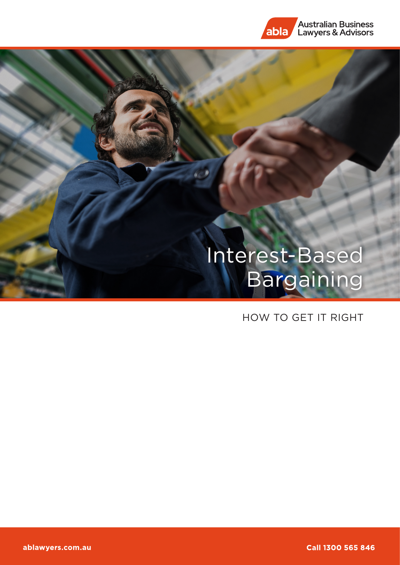

# Interest-Based Bargaining

## HOW TO GET IT RIGHT

Call 1300 565 846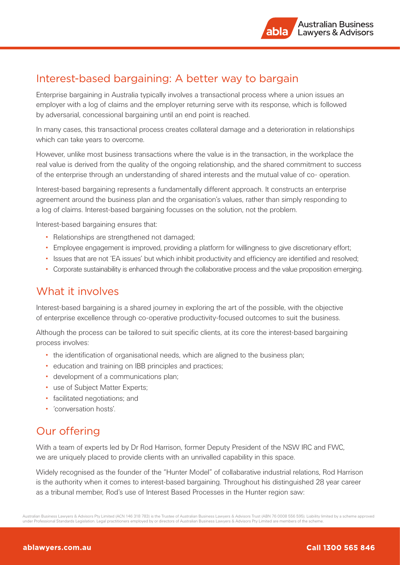# Interest-based bargaining: A better way to bargain

Enterprise bargaining in Australia typically involves a transactional process where a union issues an employer with a log of claims and the employer returning serve with its response, which is followed by adversarial, concessional bargaining until an end point is reached.

In many cases, this transactional process creates collateral damage and a deterioration in relationships which can take years to overcome.

However, unlike most business transactions where the value is in the transaction, in the workplace the real value is derived from the quality of the ongoing relationship, and the shared commitment to success of the enterprise through an understanding of shared interests and the mutual value of co- operation.

Interest-based bargaining represents a fundamentally different approach. It constructs an enterprise agreement around the business plan and the organisation's values, rather than simply responding to a log of claims. Interest-based bargaining focusses on the solution, not the problem.

Interest-based bargaining ensures that:

- Relationships are strengthened not damaged;
- Employee engagement is improved, providing a platform for willingness to give discretionary effort;
- Issues that are not 'EA issues' but which inhibit productivity and efficiency are identified and resolved;
- Corporate sustainability is enhanced through the collaborative process and the value proposition emerging.

#### What it involves

Interest-based bargaining is a shared journey in exploring the art of the possible, with the objective of enterprise excellence through co-operative productivity-focused outcomes to suit the business.

Although the process can be tailored to suit specific clients, at its core the interest-based bargaining process involves:

- the identification of organisational needs, which are aligned to the business plan;
- education and training on IBB principles and practices;
- development of a communications plan;
- use of Subject Matter Experts;
- facilitated negotiations; and
- 'conversation hosts'.

## Our offering

With a team of experts led by Dr Rod Harrison, former Deputy President of the NSW IRC and FWC, we are uniquely placed to provide clients with an unrivalled capability in this space.

Widely recognised as the founder of the "Hunter Model" of collabarative industrial relations, Rod Harrison is the authority when it comes to interest-based bargaining. Throughout his distinguished 28 year career as a tribunal member, Rod's use of Interest Based Processes in the Hunter region saw:

Australian Business Lawyers & Advisors Pty Limited (ACN 146 318 783) is the Trustee of Australian Business Lawyers & Advisors Trust (ABN 76 0008 556 595). Liability limited by a scheme approved under Professional Standards Legislation. Legal practitioners employed by or directors of Australian Business Lawyers & Advisors Pty Limited are members of the scheme.